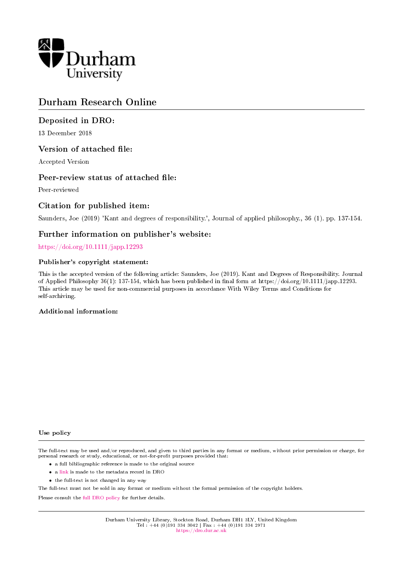

# Durham Research Online

### Deposited in DRO:

13 December 2018

### Version of attached file:

Accepted Version

### Peer-review status of attached file:

Peer-reviewed

### Citation for published item:

Saunders, Joe (2019) 'Kant and degrees of responsibility.', Journal of applied philosophy., 36 (1). pp. 137-154.

#### Further information on publisher's website:

<https://doi.org/10.1111/japp.12293>

#### Publisher's copyright statement:

This is the accepted version of the following article: Saunders, Joe (2019). Kant and Degrees of Responsibility. Journal of Applied Philosophy 36(1): 137-154, which has been published in final form at https://doi.org/10.1111/japp.12293. This article may be used for non-commercial purposes in accordance With Wiley Terms and Conditions for self-archiving.

#### Additional information:

#### Use policy

The full-text may be used and/or reproduced, and given to third parties in any format or medium, without prior permission or charge, for personal research or study, educational, or not-for-profit purposes provided that:

- a full bibliographic reference is made to the original source
- a [link](http://dro.dur.ac.uk/26989/) is made to the metadata record in DRO
- the full-text is not changed in any way

The full-text must not be sold in any format or medium without the formal permission of the copyright holders.

Please consult the [full DRO policy](https://dro.dur.ac.uk/policies/usepolicy.pdf) for further details.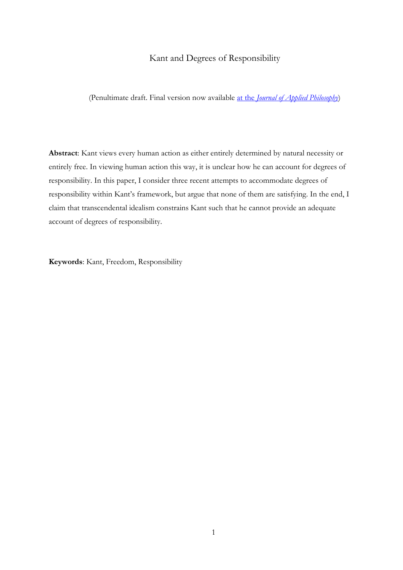# Kant and Degrees of Responsibility

(Penultimate draft. Final version now available at the *[Journal of Applied Philosophy](http://onlinelibrary.wiley.com/wol1/doi/10.1111/japp.12293/full)*)

**Abstract**: Kant views every human action as either entirely determined by natural necessity or entirely free. In viewing human action this way, it is unclear how he can account for degrees of responsibility. In this paper, I consider three recent attempts to accommodate degrees of responsibility within Kant's framework, but argue that none of them are satisfying. In the end, I claim that transcendental idealism constrains Kant such that he cannot provide an adequate account of degrees of responsibility.

**Keywords**: Kant, Freedom, Responsibility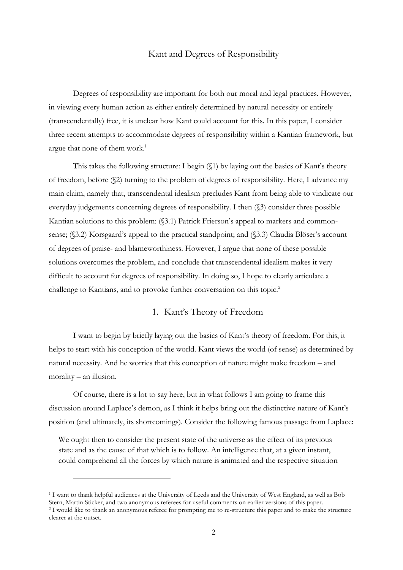## Kant and Degrees of Responsibility

Degrees of responsibility are important for both our moral and legal practices. However, in viewing every human action as either entirely determined by natural necessity or entirely (transcendentally) free, it is unclear how Kant could account for this. In this paper, I consider three recent attempts to accommodate degrees of responsibility within a Kantian framework, but argue that none of them work.<sup>1</sup>

This takes the following structure: I begin (§1) by laying out the basics of Kant's theory of freedom, before (§2) turning to the problem of degrees of responsibility. Here, I advance my main claim, namely that, transcendental idealism precludes Kant from being able to vindicate our everyday judgements concerning degrees of responsibility. I then (§3) consider three possible Kantian solutions to this problem: (§3.1) Patrick Frierson's appeal to markers and commonsense; (§3.2) Korsgaard's appeal to the practical standpoint; and (§3.3) Claudia Blöser's account of degrees of praise- and blameworthiness. However, I argue that none of these possible solutions overcomes the problem, and conclude that transcendental idealism makes it very difficult to account for degrees of responsibility. In doing so, I hope to clearly articulate a challenge to Kantians, and to provoke further conversation on this topic.<sup>2</sup>

### 1. Kant's Theory of Freedom

I want to begin by briefly laying out the basics of Kant's theory of freedom. For this, it helps to start with his conception of the world. Kant views the world (of sense) as determined by natural necessity. And he worries that this conception of nature might make freedom – and morality – an illusion.

Of course, there is a lot to say here, but in what follows I am going to frame this discussion around Laplace's demon, as I think it helps bring out the distinctive nature of Kant's position (and ultimately, its shortcomings). Consider the following famous passage from Laplace:

We ought then to consider the present state of the universe as the effect of its previous state and as the cause of that which is to follow. An intelligence that, at a given instant, could comprehend all the forces by which nature is animated and the respective situation

<sup>1</sup> I want to thank helpful audiences at the University of Leeds and the University of West England, as well as Bob Stern, Martin Sticker, and two anonymous referees for useful comments on earlier versions of this paper. <sup>2</sup> I would like to thank an anonymous referee for prompting me to re-structure this paper and to make the structure clearer at the outset.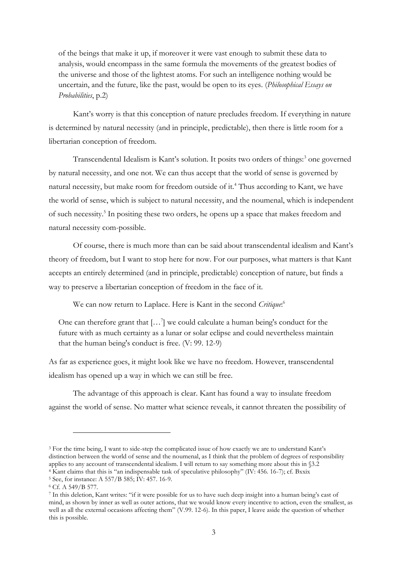of the beings that make it up, if moreover it were vast enough to submit these data to analysis, would encompass in the same formula the movements of the greatest bodies of the universe and those of the lightest atoms. For such an intelligence nothing would be uncertain, and the future, like the past, would be open to its eyes. (*Philosophical Essays on Probabilities*, p.2)

Kant's worry is that this conception of nature precludes freedom. If everything in nature is determined by natural necessity (and in principle, predictable), then there is little room for a libertarian conception of freedom.

Transcendental Idealism is Kant's solution. It posits two orders of things:<sup>3</sup> one governed by natural necessity, and one not. We can thus accept that the world of sense is governed by natural necessity, but make room for freedom outside of it.<sup>4</sup> Thus according to Kant, we have the world of sense, which is subject to natural necessity, and the noumenal, which is independent of such necessity.<sup>5</sup> In positing these two orders, he opens up a space that makes freedom and natural necessity com-possible.

Of course, there is much more than can be said about transcendental idealism and Kant's theory of freedom, but I want to stop here for now. For our purposes, what matters is that Kant accepts an entirely determined (and in principle, predictable) conception of nature, but finds a way to preserve a libertarian conception of freedom in the face of it.

We can now return to Laplace. Here is Kant in the second Critique.<sup>6</sup>

One can therefore grant that  $\left[...\right]$  we could calculate a human being's conduct for the future with as much certainty as a lunar or solar eclipse and could nevertheless maintain that the human being's conduct is free. (V: 99. 12-9)

As far as experience goes, it might look like we have no freedom. However, transcendental idealism has opened up a way in which we can still be free.

The advantage of this approach is clear. Kant has found a way to insulate freedom against the world of sense. No matter what science reveals, it cannot threaten the possibility of

<sup>3</sup> For the time being, I want to side-step the complicated issue of how exactly we are to understand Kant's distinction between the world of sense and the noumenal, as I think that the problem of degrees of responsibility applies to any account of transcendental idealism. I will return to say something more about this in §3.2 <sup>4</sup> Kant claims that this is "an indispensable task of speculative philosophy" (IV: 456. 16-7); cf. Bxxix

<sup>5</sup> See, for instance: A 557/B 585; IV: 457. 16-9.

<sup>6</sup> Cf. A 549/B 577.

<sup>7</sup> In this deletion, Kant writes: "if it were possible for us to have such deep insight into a human being's cast of mind, as shown by inner as well as outer actions, that we would know every incentive to action, even the smallest, as well as all the external occasions affecting them" (V.99. 12-6). In this paper, I leave aside the question of whether this is possible.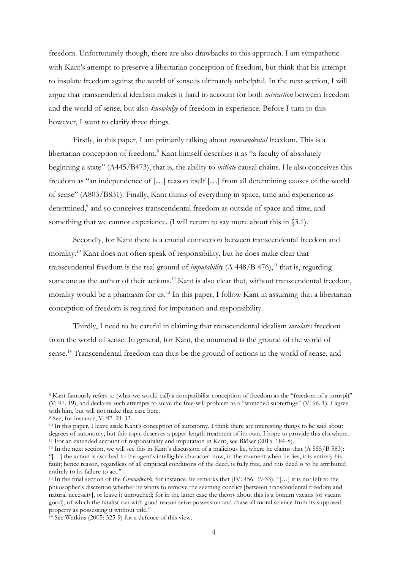freedom. Unfortunately though, there are also drawbacks to this approach. I am sympathetic with Kant's attempt to preserve a libertarian conception of freedom, but think that his attempt to insulate freedom against the world of sense is ultimately unhelpful. In the next section, I will argue that transcendental idealism makes it hard to account for both *interaction* between freedom and the world of sense, but also *knowledge* of freedom in experience. Before I turn to this however, I want to clarify three things.

Firstly, in this paper, I am primarily talking about *transcendental* freedom. This is a libertarian conception of freedom.<sup>8</sup> Kant himself describes it as "a faculty of absolutely beginning a state" (A445/B473), that is, the ability to *initiate* causal chains. He also conceives this freedom as "an independence of […] reason itself […] from all determining causes of the world of sense" (A803/B831). Finally, Kant thinks of everything in space, time and experience as determined,<sup>9</sup> and so conceives transcendental freedom as outside of space and time, and something that we cannot experience. (I will return to say more about this in  $\S$ 3.1).

Secondly, for Kant there is a crucial connection between transcendental freedom and morality.<sup>10</sup> Kant does not often speak of responsibility, but he does make clear that transcendental freedom is the real ground of *imputability*  $(A 448/B 476)$ ,<sup>11</sup> that is, regarding someone as the author of their actions.<sup>12</sup> Kant is also clear that, without transcendental freedom, morality would be a phantasm for us.<sup>13</sup> In this paper, I follow Kant in assuming that a libertarian conception of freedom is required for imputation and responsibility.

Thirdly, I need to be careful in claiming that transcendental idealism *insulates* freedom from the world of sense. In general, for Kant, the noumenal is the ground of the world of sense.<sup>14</sup> Transcendental freedom can thus be the ground of actions in the world of sense, and

<sup>8</sup> Kant famously refers to (what we would call) a compatibilist conception of freedom as the "freedom of a turnspit" (V: 97. 19), and declares such attempts to solve the free-will problem as a "wretched subterfuge" (V: 96. 1). I agree with him, but will not make that case here.

<sup>9</sup> See, for instance, V: 97. 21-32.

<sup>&</sup>lt;sup>10</sup> In this paper, I leave aside Kant's conception of autonomy. I think there are interesting things to be said about degrees of autonomy, but this topic deserves a paper-length treatment of its own. I hope to provide this elsewhere. <sup>11</sup> For an extended account of responsibility and imputation in Kant, see Blöser (2015: 184-8).

<sup>&</sup>lt;sup>12</sup> In the next section, we will see this in Kant's discussion of a malicious lie, where he claims that (A 555/B 583): "[…] the action is ascribed to the agent's intelligible character: now, in the moment when he lies, it is entirely his fault; hence reason, regardless of all empirical conditions of the deed, is fully free, and this deed is to be attributed entirely to its failure to act."

<sup>13</sup> In the final section of the *Groundwork*, for instance, he remarks that (IV: 456. 29-33): "[…] it is not left to the philosopher's discretion whether he wants to remove the seeming conflict [between transcendental freedom and natural necessity], or leave it untouched; for in the latter case the theory about this is a bonum vacans [or vacant good], of which the fatalist can with good reason seize possession and chase all moral science from its supposed property as possessing it without title."

<sup>14</sup> See Watkins (2005: 325-9) for a defence of this view.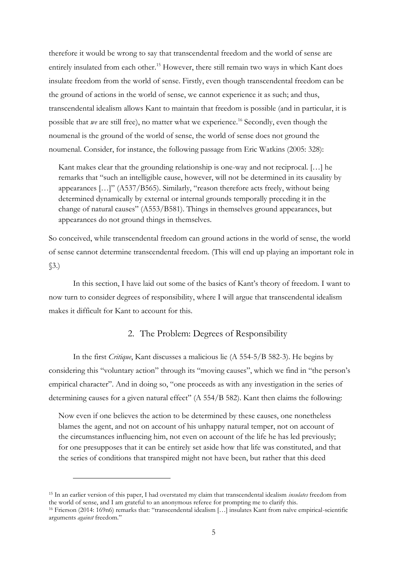therefore it would be wrong to say that transcendental freedom and the world of sense are entirely insulated from each other.<sup>15</sup> However, there still remain two ways in which Kant does insulate freedom from the world of sense. Firstly, even though transcendental freedom can be the ground of actions in the world of sense, we cannot experience it as such; and thus, transcendental idealism allows Kant to maintain that freedom is possible (and in particular, it is possible that *we* are still free), no matter what we experience.<sup>16</sup> Secondly, even though the noumenal is the ground of the world of sense, the world of sense does not ground the noumenal. Consider, for instance, the following passage from Eric Watkins (2005: 328):

Kant makes clear that the grounding relationship is one-way and not reciprocal. […] he remarks that "such an intelligible cause, however, will not be determined in its causality by appearances […]" (A537/B565). Similarly, "reason therefore acts freely, without being determined dynamically by external or internal grounds temporally preceding it in the change of natural causes" (A553/B581). Things in themselves ground appearances, but appearances do not ground things in themselves.

So conceived, while transcendental freedom can ground actions in the world of sense, the world of sense cannot determine transcendental freedom. (This will end up playing an important role in §3.)

In this section, I have laid out some of the basics of Kant's theory of freedom. I want to now turn to consider degrees of responsibility, where I will argue that transcendental idealism makes it difficult for Kant to account for this.

### 2. The Problem: Degrees of Responsibility

In the first *Critique*, Kant discusses a malicious lie (A 554-5/B 582-3). He begins by considering this "voluntary action" through its "moving causes", which we find in "the person's empirical character". And in doing so, "one proceeds as with any investigation in the series of determining causes for a given natural effect" (A 554/B 582). Kant then claims the following:

Now even if one believes the action to be determined by these causes, one nonetheless blames the agent, and not on account of his unhappy natural temper, not on account of the circumstances influencing him, not even on account of the life he has led previously; for one presupposes that it can be entirely set aside how that life was constituted, and that the series of conditions that transpired might not have been, but rather that this deed

<sup>15</sup> In an earlier version of this paper, I had overstated my claim that transcendental idealism *insulates* freedom from the world of sense, and I am grateful to an anonymous referee for prompting me to clarify this.

<sup>16</sup> Frierson (2014: 169n6) remarks that: "transcendental idealism […] insulates Kant from naïve empirical-scientific arguments *against* freedom."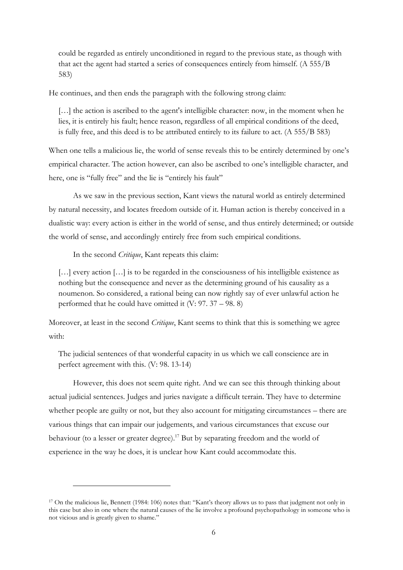could be regarded as entirely unconditioned in regard to the previous state, as though with that act the agent had started a series of consequences entirely from himself. (A 555/B 583)

He continues, and then ends the paragraph with the following strong claim:

[...] the action is ascribed to the agent's intelligible character: now, in the moment when he lies, it is entirely his fault; hence reason, regardless of all empirical conditions of the deed, is fully free, and this deed is to be attributed entirely to its failure to act. (A 555/B 583)

When one tells a malicious lie, the world of sense reveals this to be entirely determined by one's empirical character. The action however, can also be ascribed to one's intelligible character, and here, one is "fully free" and the lie is "entirely his fault"

As we saw in the previous section, Kant views the natural world as entirely determined by natural necessity, and locates freedom outside of it. Human action is thereby conceived in a dualistic way: every action is either in the world of sense, and thus entirely determined; or outside the world of sense, and accordingly entirely free from such empirical conditions.

In the second *Critique*, Kant repeats this claim:

-

[...] every action [...] is to be regarded in the consciousness of his intelligible existence as nothing but the consequence and never as the determining ground of his causality as a noumenon. So considered, a rational being can now rightly say of ever unlawful action he performed that he could have omitted it (V: 97. 37 – 98. 8)

Moreover, at least in the second *Critique*, Kant seems to think that this is something we agree with:

The judicial sentences of that wonderful capacity in us which we call conscience are in perfect agreement with this. (V: 98. 13-14)

However, this does not seem quite right. And we can see this through thinking about actual judicial sentences. Judges and juries navigate a difficult terrain. They have to determine whether people are guilty or not, but they also account for mitigating circumstances – there are various things that can impair our judgements, and various circumstances that excuse our behaviour (to a lesser or greater degree).<sup>17</sup> But by separating freedom and the world of experience in the way he does, it is unclear how Kant could accommodate this.

<sup>&</sup>lt;sup>17</sup> On the malicious lie, Bennett (1984: 106) notes that: "Kant's theory allows us to pass that judgment not only in this case but also in one where the natural causes of the lie involve a profound psychopathology in someone who is not vicious and is greatly given to shame."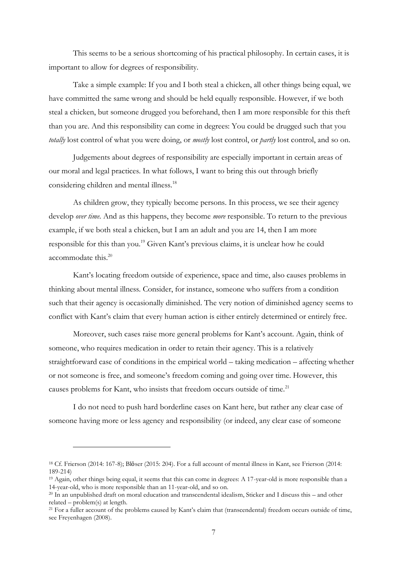This seems to be a serious shortcoming of his practical philosophy. In certain cases, it is important to allow for degrees of responsibility.

Take a simple example: If you and I both steal a chicken, all other things being equal, we have committed the same wrong and should be held equally responsible. However, if we both steal a chicken, but someone drugged you beforehand, then I am more responsible for this theft than you are. And this responsibility can come in degrees: You could be drugged such that you *totally* lost control of what you were doing, or *mostly* lost control, or *partly* lost control, and so on.

Judgements about degrees of responsibility are especially important in certain areas of our moral and legal practices. In what follows, I want to bring this out through briefly considering children and mental illness.<sup>18</sup>

As children grow, they typically become persons. In this process, we see their agency develop *over time*. And as this happens, they become *more* responsible. To return to the previous example, if we both steal a chicken, but I am an adult and you are 14, then I am more responsible for this than you.<sup>19</sup> Given Kant's previous claims, it is unclear how he could accommodate this.<sup>20</sup>

Kant's locating freedom outside of experience, space and time, also causes problems in thinking about mental illness. Consider, for instance, someone who suffers from a condition such that their agency is occasionally diminished. The very notion of diminished agency seems to conflict with Kant's claim that every human action is either entirely determined or entirely free.

Moreover, such cases raise more general problems for Kant's account. Again, think of someone, who requires medication in order to retain their agency. This is a relatively straightforward case of conditions in the empirical world – taking medication – affecting whether or not someone is free, and someone's freedom coming and going over time. However, this causes problems for Kant, who insists that freedom occurs outside of time.<sup>21</sup>

I do not need to push hard borderline cases on Kant here, but rather any clear case of someone having more or less agency and responsibility (or indeed, any clear case of someone

<sup>&</sup>lt;sup>18</sup> Cf. Frierson (2014: 167-8); Blöser (2015: 204). For a full account of mental illness in Kant, see Frierson (2014: 189-214)

<sup>&</sup>lt;sup>19</sup> Again, other things being equal, it seems that this can come in degrees: A 17-year-old is more responsible than a 14-year-old, who is more responsible than an 11-year-old, and so on.

<sup>20</sup> In an unpublished draft on moral education and transcendental idealism, Sticker and I discuss this – and other related – problem(s) at length.

<sup>&</sup>lt;sup>21</sup> For a fuller account of the problems caused by Kant's claim that (transcendental) freedom occurs outside of time, see Freyenhagen (2008).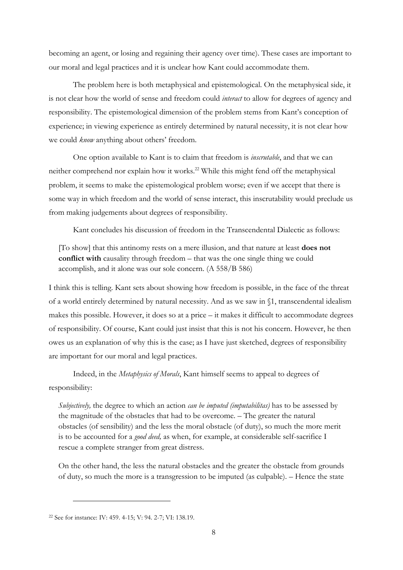becoming an agent, or losing and regaining their agency over time). These cases are important to our moral and legal practices and it is unclear how Kant could accommodate them.

The problem here is both metaphysical and epistemological. On the metaphysical side, it is not clear how the world of sense and freedom could *interact* to allow for degrees of agency and responsibility. The epistemological dimension of the problem stems from Kant's conception of experience; in viewing experience as entirely determined by natural necessity, it is not clear how we could *know* anything about others' freedom.

One option available to Kant is to claim that freedom is *inscrutable*, and that we can neither comprehend nor explain how it works.<sup>22</sup> While this might fend off the metaphysical problem, it seems to make the epistemological problem worse; even if we accept that there is some way in which freedom and the world of sense interact, this inscrutability would preclude us from making judgements about degrees of responsibility.

Kant concludes his discussion of freedom in the Transcendental Dialectic as follows:

[To show] that this antinomy rests on a mere illusion, and that nature at least **does not conflict with** causality through freedom – that was the one single thing we could accomplish, and it alone was our sole concern. (A 558/B 586)

I think this is telling. Kant sets about showing how freedom is possible, in the face of the threat of a world entirely determined by natural necessity. And as we saw in §1, transcendental idealism makes this possible. However, it does so at a price – it makes it difficult to accommodate degrees of responsibility. Of course, Kant could just insist that this is not his concern. However, he then owes us an explanation of why this is the case; as I have just sketched, degrees of responsibility are important for our moral and legal practices.

Indeed, in the *Metaphysics of Morals*, Kant himself seems to appeal to degrees of responsibility:

*Subjectively,* the degree to which an action *can be imputed (imputabilitas)* has to be assessed by the magnitude of the obstacles that had to be overcome. – The greater the natural obstacles (of sensibility) and the less the moral obstacle (of duty), so much the more merit is to be accounted for a *good deed,* as when, for example, at considerable self-sacrifice I rescue a complete stranger from great distress.

On the other hand, the less the natural obstacles and the greater the obstacle from grounds of duty, so much the more is a transgression to be imputed (as culpable). – Hence the state

<sup>22</sup> See for instance: IV: 459. 4-15; V: 94. 2-7; VI: 138.19.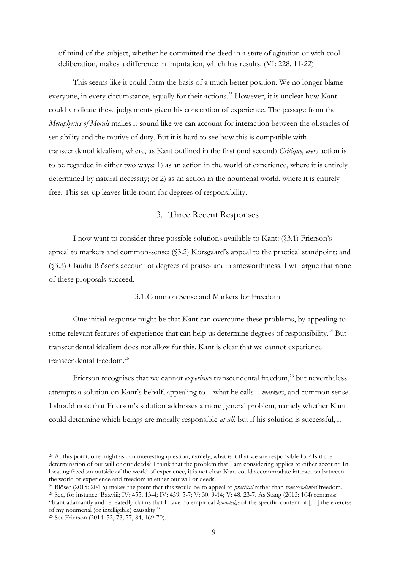of mind of the subject, whether he committed the deed in a state of agitation or with cool deliberation, makes a difference in imputation, which has results. (VI: 228. 11-22)

This seems like it could form the basis of a much better position. We no longer blame everyone, in every circumstance, equally for their actions.<sup>23</sup> However, it is unclear how Kant could vindicate these judgements given his conception of experience. The passage from the *Metaphysics of Morals* makes it sound like we can account for interaction between the obstacles of sensibility and the motive of duty. But it is hard to see how this is compatible with transcendental idealism, where, as Kant outlined in the first (and second) *Critique*, *every* action is to be regarded in either two ways: 1) as an action in the world of experience, where it is entirely determined by natural necessity; or 2) as an action in the noumenal world, where it is entirely free. This set-up leaves little room for degrees of responsibility.

### 3. Three Recent Responses

I now want to consider three possible solutions available to Kant: (§3.1) Frierson's appeal to markers and common-sense; (§3.2) Korsgaard's appeal to the practical standpoint; and (§3.3) Claudia Blöser's account of degrees of praise- and blameworthiness. I will argue that none of these proposals succeed.

### 3.1.Common Sense and Markers for Freedom

One initial response might be that Kant can overcome these problems, by appealing to some relevant features of experience that can help us determine degrees of responsibility.<sup>24</sup> But transcendental idealism does not allow for this. Kant is clear that we cannot experience transcendental freedom.<sup>25</sup>

Frierson recognises that we cannot *experience* transcendental freedom,<sup>26</sup> but nevertheless attempts a solution on Kant's behalf, appealing to – what he calls – *markers*, and common sense. I should note that Frierson's solution addresses a more general problem, namely whether Kant could determine which beings are morally responsible *at all*, but if his solution is successful, it

<sup>&</sup>lt;sup>23</sup> At this point, one might ask an interesting question, namely, what is it that we are responsible for? Is it the determination of our will or our deeds? I think that the problem that I am considering applies to either account. In locating freedom outside of the world of experience, it is not clear Kant could accommodate interaction between the world of experience and freedom in either our will or deeds.

<sup>24</sup> Blöser (2015: 204-5) makes the point that this would be to appeal to *practical* rather than *transcendental* freedom.

<sup>25</sup> See, for instance: Bxxviii; IV: 455. 13-4; IV: 459. 5-7; V: 30. 9-14; V: 48. 23-7. As Stang (2013: 104) remarks: "Kant adamantly and repeatedly claims that I have no empirical *knowledge* of the specific content of […] the exercise of my noumenal (or intelligible) causality."

<sup>26</sup> See Frierson (2014: 52, 73, 77, 84, 169-70).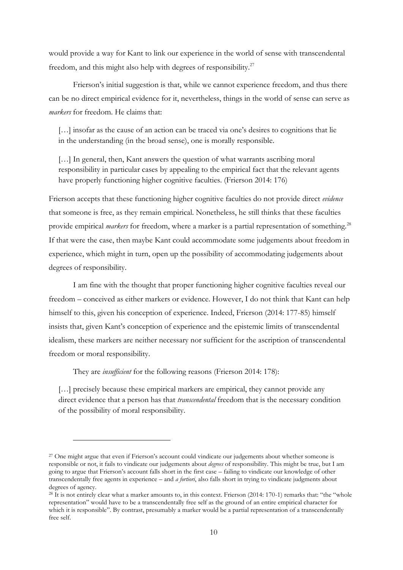would provide a way for Kant to link our experience in the world of sense with transcendental freedom, and this might also help with degrees of responsibility. $27$ 

Frierson's initial suggestion is that, while we cannot experience freedom, and thus there can be no direct empirical evidence for it, nevertheless, things in the world of sense can serve as *markers* for freedom. He claims that:

[...] insofar as the cause of an action can be traced via one's desires to cognitions that lie in the understanding (in the broad sense), one is morally responsible.

[...] In general, then, Kant answers the question of what warrants ascribing moral responsibility in particular cases by appealing to the empirical fact that the relevant agents have properly functioning higher cognitive faculties. (Frierson 2014: 176)

Frierson accepts that these functioning higher cognitive faculties do not provide direct *evidence* that someone is free, as they remain empirical. Nonetheless, he still thinks that these faculties provide empirical *markers* for freedom, where a marker is a partial representation of something.<sup>28</sup> If that were the case, then maybe Kant could accommodate some judgements about freedom in experience, which might in turn, open up the possibility of accommodating judgements about degrees of responsibility.

I am fine with the thought that proper functioning higher cognitive faculties reveal our freedom – conceived as either markers or evidence. However, I do not think that Kant can help himself to this, given his conception of experience. Indeed, Frierson (2014: 177-85) himself insists that, given Kant's conception of experience and the epistemic limits of transcendental idealism, these markers are neither necessary nor sufficient for the ascription of transcendental freedom or moral responsibility.

They are *insufficient* for the following reasons (Frierson 2014: 178):

-

[...] precisely because these empirical markers are empirical, they cannot provide any direct evidence that a person has that *transcendental* freedom that is the necessary condition of the possibility of moral responsibility.

<sup>&</sup>lt;sup>27</sup> One might argue that even if Frierson's account could vindicate our judgements about whether someone is responsible or not, it fails to vindicate our judgements about *degrees* of responsibility. This might be true, but I am going to argue that Frierson's account falls short in the first case – failing to vindicate our knowledge of other transcendentally free agents in experience – and *a fortiori*, also falls short in trying to vindicate judgments about degrees of agency.

<sup>&</sup>lt;sup>28</sup> It is not entirely clear what a marker amounts to, in this context. Frierson (2014: 170-1) remarks that: "the "whole representation" would have to be a transcendentally free self as the ground of an entire empirical character for which it is responsible". By contrast, presumably a marker would be a partial representation of a transcendentally free self.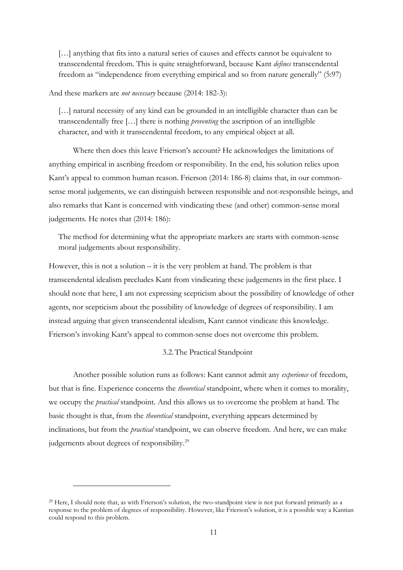[…] anything that fits into a natural series of causes and effects cannot be equivalent to transcendental freedom. This is quite straightforward, because Kant *defines* transcendental freedom as "independence from everything empirical and so from nature generally" (5:97)

And these markers are *not necessary* because (2014: 182-3):

[...] natural necessity of any kind can be grounded in an intelligible character than can be transcendentally free […] there is nothing *preventing* the ascription of an intelligible character, and with it transcendental freedom, to any empirical object at all.

Where then does this leave Frierson's account? He acknowledges the limitations of anything empirical in ascribing freedom or responsibility. In the end, his solution relies upon Kant's appeal to common human reason. Frierson (2014: 186-8) claims that, in our commonsense moral judgements, we can distinguish between responsible and not-responsible beings, and also remarks that Kant is concerned with vindicating these (and other) common-sense moral judgements. He notes that (2014: 186):

The method for determining what the appropriate markers are starts with common-sense moral judgements about responsibility.

However, this is not a solution – it is the very problem at hand. The problem is that transcendental idealism precludes Kant from vindicating these judgements in the first place. I should note that here, I am not expressing scepticism about the possibility of knowledge of other agents, nor scepticism about the possibility of knowledge of degrees of responsibility. I am instead arguing that given transcendental idealism, Kant cannot vindicate this knowledge. Frierson's invoking Kant's appeal to common-sense does not overcome this problem.

#### 3.2.The Practical Standpoint

Another possible solution runs as follows: Kant cannot admit any *experience* of freedom, but that is fine. Experience concerns the *theoretical* standpoint, where when it comes to morality, we occupy the *practical* standpoint. And this allows us to overcome the problem at hand. The basic thought is that, from the *theoretical* standpoint, everything appears determined by inclinations, but from the *practical* standpoint, we can observe freedom. And here, we can make judgements about degrees of responsibility.<sup>29</sup>

<sup>&</sup>lt;sup>29</sup> Here, I should note that, as with Frierson's solution, the two-standpoint view is not put forward primarily as a response to the problem of degrees of responsibility. However, like Frierson's solution, it is a possible way a Kantian could respond to this problem.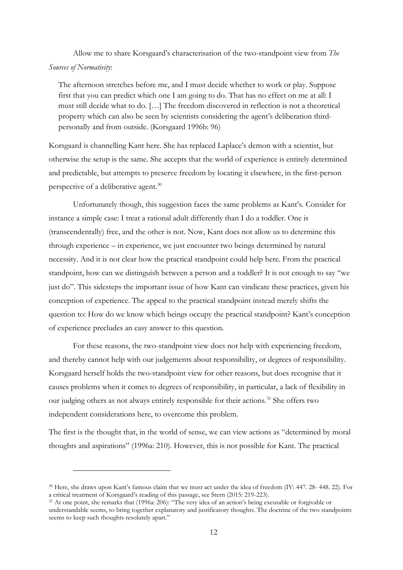Allow me to share Korsgaard's characterisation of the two-standpoint view from *The Sources of Normativity*:

The afternoon stretches before me, and I must decide whether to work or play. Suppose first that you can predict which one I am going to do. That has no effect on me at all: I must still decide what to do. […] The freedom discovered in reflection is not a theoretical property which can also be seen by scientists considering the agent's deliberation thirdpersonally and from outside. (Korsgaard 1996b: 96)

Korsgaard is channelling Kant here. She has replaced Laplace's demon with a scientist, but otherwise the setup is the same. She accepts that the world of experience is entirely determined and predictable, but attempts to preserve freedom by locating it elsewhere, in the first-person perspective of a deliberative agent.<sup>30</sup>

Unfortunately though, this suggestion faces the same problems as Kant's. Consider for instance a simple case: I treat a rational adult differently than I do a toddler. One is (transcendentally) free, and the other is not. Now, Kant does not allow us to determine this through experience – in experience, we just encounter two beings determined by natural necessity. And it is not clear how the practical standpoint could help here. From the practical standpoint, how can we distinguish between a person and a toddler? It is not enough to say "we just do". This sidesteps the important issue of how Kant can vindicate these practices, given his conception of experience. The appeal to the practical standpoint instead merely shifts the question to: How do we know which beings occupy the practical standpoint? Kant's conception of experience precludes an easy answer to this question.

For these reasons, the two-standpoint view does not help with experiencing freedom, and thereby cannot help with our judgements about responsibility, or degrees of responsibility. Korsgaard herself holds the two-standpoint view for other reasons, but does recognise that it causes problems when it comes to degrees of responsibility, in particular, a lack of flexibility in our judging others as not always entirely responsible for their actions.<sup>31</sup> She offers two independent considerations here, to overcome this problem.

The first is the thought that, in the world of sense, we can view actions as "determined by moral thoughts and aspirations" (1996a: 210). However, this is not possible for Kant. The practical

<sup>30</sup> Here, she draws upon Kant's famous claim that we must act under the idea of freedom (IV: 447. 28- 448. 22). For a critical treatment of Korsgaard's reading of this passage, see Stern (2015: 219-223).

<sup>&</sup>lt;sup>31</sup> At one point, she remarks that (1996a: 206): "The very idea of an action's being excusable or forgivable or understandable seems, to bring together explanatory and justificatory thoughts. The doctrine of the two standpoints seems to keep such thoughts resolutely apart."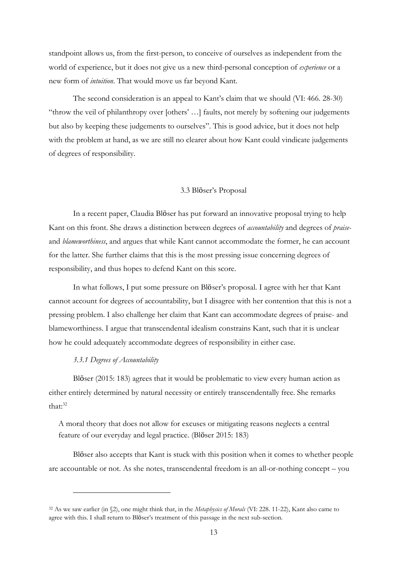standpoint allows us, from the first-person, to conceive of ourselves as independent from the world of experience, but it does not give us a new third-personal conception of *experience* or a new form of *intuition*. That would move us far beyond Kant.

The second consideration is an appeal to Kant's claim that we should (VI: 466. 28-30) "throw the veil of philanthropy over [others' …] faults, not merely by softening our judgements but also by keeping these judgements to ourselves". This is good advice, but it does not help with the problem at hand, as we are still no clearer about how Kant could vindicate judgements of degrees of responsibility.

#### 3.3 Blӧser's Proposal

In a recent paper, Claudia Blӧser has put forward an innovative proposal trying to help Kant on this front. She draws a distinction between degrees of *accountability* and degrees of *praise*and *blameworthiness*, and argues that while Kant cannot accommodate the former, he can account for the latter. She further claims that this is the most pressing issue concerning degrees of responsibility, and thus hopes to defend Kant on this score.

In what follows, I put some pressure on Blöser's proposal. I agree with her that Kant cannot account for degrees of accountability, but I disagree with her contention that this is not a pressing problem. I also challenge her claim that Kant can accommodate degrees of praise- and blameworthiness. I argue that transcendental idealism constrains Kant, such that it is unclear how he could adequately accommodate degrees of responsibility in either case.

### *3.3.1 Degrees of Accountability*

-

Blöser (2015: 183) agrees that it would be problematic to view every human action as either entirely determined by natural necessity or entirely transcendentally free. She remarks that:<sup>32</sup>

A moral theory that does not allow for excuses or mitigating reasons neglects a central feature of our everyday and legal practice. (Blöser 2015: 183)

Blöser also accepts that Kant is stuck with this position when it comes to whether people are accountable or not. As she notes, transcendental freedom is an all-or-nothing concept – you

<sup>32</sup> As we saw earlier (in §2), one might think that, in the *Metaphysics of Morals* (VI: 228. 11-22), Kant also came to agree with this. I shall return to Blöser's treatment of this passage in the next sub-section.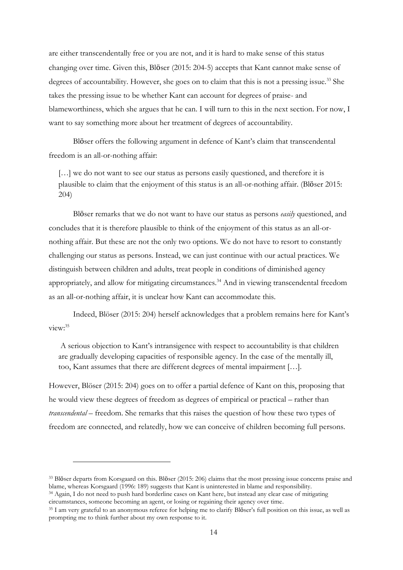are either transcendentally free or you are not, and it is hard to make sense of this status changing over time. Given this, Blöser (2015: 204-5) accepts that Kant cannot make sense of degrees of accountability. However, she goes on to claim that this is not a pressing issue.<sup>33</sup> She takes the pressing issue to be whether Kant can account for degrees of praise- and blameworthiness, which she argues that he can. I will turn to this in the next section. For now, I want to say something more about her treatment of degrees of accountability.

Blöser offers the following argument in defence of Kant's claim that transcendental freedom is an all-or-nothing affair:

[...] we do not want to see our status as persons easily questioned, and therefore it is plausible to claim that the enjoyment of this status is an all-or-nothing affair. (Blöser 2015: 204)

Blöser remarks that we do not want to have our status as persons *easily* questioned, and concludes that it is therefore plausible to think of the enjoyment of this status as an all-ornothing affair. But these are not the only two options. We do not have to resort to constantly challenging our status as persons. Instead, we can just continue with our actual practices. We distinguish between children and adults, treat people in conditions of diminished agency appropriately, and allow for mitigating circumstances.<sup>34</sup> And in viewing transcendental freedom as an all-or-nothing affair, it is unclear how Kant can accommodate this.

Indeed, Blöser (2015: 204) herself acknowledges that a problem remains here for Kant's view:<sup>35</sup>

A serious objection to Kant's intransigence with respect to accountability is that children are gradually developing capacities of responsible agency. In the case of the mentally ill, too, Kant assumes that there are different degrees of mental impairment […].

However, Blöser (2015: 204) goes on to offer a partial defence of Kant on this, proposing that he would view these degrees of freedom as degrees of empirical or practical – rather than *transcendental* – freedom. She remarks that this raises the question of how these two types of freedom are connected, and relatedly, how we can conceive of children becoming full persons.

<u>.</u>

<sup>&</sup>lt;sup>33</sup> Blöser departs from Korsgaard on this. Blöser (2015: 206) claims that the most pressing issue concerns praise and blame, whereas Korsgaard (1996: 189) suggests that Kant is uninterested in blame and responsibility. <sup>34</sup> Again, I do not need to push hard borderline cases on Kant here, but instead any clear case of mitigating

circumstances, someone becoming an agent, or losing or regaining their agency over time.

<sup>35</sup> I am very grateful to an anonymous referee for helping me to clarify Blӧser's full position on this issue, as well as prompting me to think further about my own response to it.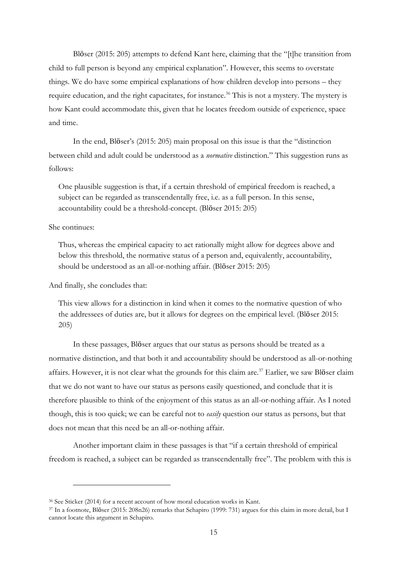Blöser (2015: 205) attempts to defend Kant here, claiming that the "[t]he transition from child to full person is beyond any empirical explanation". However, this seems to overstate things. We do have some empirical explanations of how children develop into persons – they require education, and the right capacitates, for instance.<sup>36</sup> This is not a mystery. The mystery is how Kant could accommodate this, given that he locates freedom outside of experience, space and time.

In the end, Blӧser's (2015: 205) main proposal on this issue is that the "distinction between child and adult could be understood as a *normative* distinction." This suggestion runs as follows:

One plausible suggestion is that, if a certain threshold of empirical freedom is reached, a subject can be regarded as transcendentally free, i.e. as a full person. In this sense, accountability could be a threshold-concept. (Blӧser 2015: 205)

#### She continues:

<u>.</u>

Thus, whereas the empirical capacity to act rationally might allow for degrees above and below this threshold, the normative status of a person and, equivalently, accountability, should be understood as an all-or-nothing affair. (Blöser 2015: 205)

And finally, she concludes that:

This view allows for a distinction in kind when it comes to the normative question of who the addressees of duties are, but it allows for degrees on the empirical level. (Blöser 2015: 205)

In these passages, Blöser argues that our status as persons should be treated as a normative distinction, and that both it and accountability should be understood as all-or-nothing affairs. However, it is not clear what the grounds for this claim are.<sup>37</sup> Earlier, we saw Blöser claim that we do not want to have our status as persons easily questioned, and conclude that it is therefore plausible to think of the enjoyment of this status as an all-or-nothing affair. As I noted though, this is too quick; we can be careful not to *easily* question our status as persons, but that does not mean that this need be an all-or-nothing affair.

Another important claim in these passages is that "if a certain threshold of empirical freedom is reached, a subject can be regarded as transcendentally free". The problem with this is

<sup>36</sup> See Sticker (2014) for a recent account of how moral education works in Kant.

<sup>37</sup> In a footnote, Blӧser (2015: 208n26) remarks that Schapiro (1999: 731) argues for this claim in more detail, but I cannot locate this argument in Schapiro.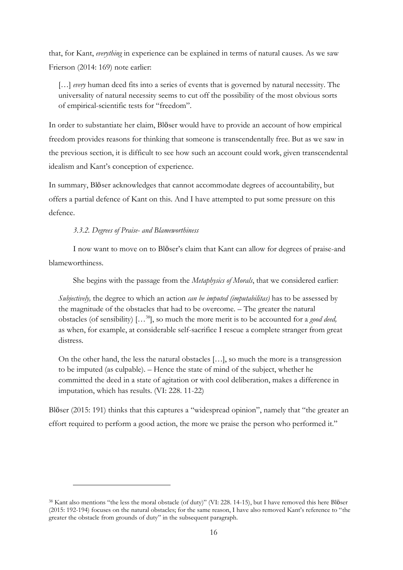that, for Kant, *everything* in experience can be explained in terms of natural causes. As we saw Frierson (2014: 169) note earlier:

[...] *every* human deed fits into a series of events that is governed by natural necessity. The universality of natural necessity seems to cut off the possibility of the most obvious sorts of empirical-scientific tests for "freedom".

In order to substantiate her claim, Blöser would have to provide an account of how empirical freedom provides reasons for thinking that someone is transcendentally free. But as we saw in the previous section, it is difficult to see how such an account could work, given transcendental idealism and Kant's conception of experience.

In summary, Blöser acknowledges that cannot accommodate degrees of accountability, but offers a partial defence of Kant on this. And I have attempted to put some pressure on this defence.

### *3.3.2. Degrees of Praise- and Blameworthiness*

<u>.</u>

I now want to move on to Blӧser's claim that Kant can allow for degrees of praise-and blameworthiness.

She begins with the passage from the *Metaphysics of Morals*, that we considered earlier:

*Subjectively,* the degree to which an action *can be imputed (imputabilitas)* has to be assessed by the magnitude of the obstacles that had to be overcome. – The greater the natural obstacles (of sensibility) […<sup>38</sup>], so much the more merit is to be accounted for a *good deed,*  as when, for example, at considerable self-sacrifice I rescue a complete stranger from great distress.

On the other hand, the less the natural obstacles […], so much the more is a transgression to be imputed (as culpable). – Hence the state of mind of the subject, whether he committed the deed in a state of agitation or with cool deliberation, makes a difference in imputation, which has results. (VI: 228. 11-22)

Blöser (2015: 191) thinks that this captures a "widespread opinion", namely that "the greater an effort required to perform a good action, the more we praise the person who performed it."

<sup>&</sup>lt;sup>38</sup> Kant also mentions "the less the moral obstacle (of duty)" (VI: 228. 14-15), but I have removed this here Blöser (2015: 192-194) focuses on the natural obstacles; for the same reason, I have also removed Kant's reference to "the greater the obstacle from grounds of duty" in the subsequent paragraph.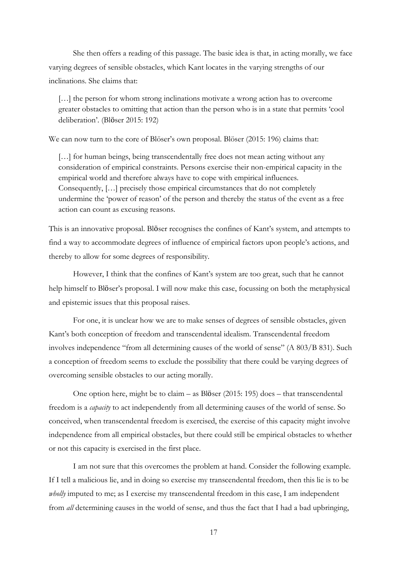She then offers a reading of this passage. The basic idea is that, in acting morally, we face varying degrees of sensible obstacles, which Kant locates in the varying strengths of our inclinations. She claims that:

[...] the person for whom strong inclinations motivate a wrong action has to overcome greater obstacles to omitting that action than the person who is in a state that permits 'cool deliberation'. (Blöser 2015: 192)

We can now turn to the core of Blöser's own proposal. Blöser (2015: 196) claims that:

[...] for human beings, being transcendentally free does not mean acting without any consideration of empirical constraints. Persons exercise their non-empirical capacity in the empirical world and therefore always have to cope with empirical influences. Consequently, […] precisely those empirical circumstances that do not completely undermine the 'power of reason' of the person and thereby the status of the event as a free action can count as excusing reasons.

This is an innovative proposal. Blöser recognises the confines of Kant's system, and attempts to find a way to accommodate degrees of influence of empirical factors upon people's actions, and thereby to allow for some degrees of responsibility.

However, I think that the confines of Kant's system are too great, such that he cannot help himself to Blöser's proposal. I will now make this case, focussing on both the metaphysical and epistemic issues that this proposal raises.

For one, it is unclear how we are to make senses of degrees of sensible obstacles, given Kant's both conception of freedom and transcendental idealism. Transcendental freedom involves independence "from all determining causes of the world of sense" (A 803/B 831). Such a conception of freedom seems to exclude the possibility that there could be varying degrees of overcoming sensible obstacles to our acting morally.

One option here, might be to claim – as Blӧser (2015: 195) does – that transcendental freedom is a *capacity* to act independently from all determining causes of the world of sense. So conceived, when transcendental freedom is exercised, the exercise of this capacity might involve independence from all empirical obstacles, but there could still be empirical obstacles to whether or not this capacity is exercised in the first place.

I am not sure that this overcomes the problem at hand. Consider the following example. If I tell a malicious lie, and in doing so exercise my transcendental freedom, then this lie is to be *wholly* imputed to me; as I exercise my transcendental freedom in this case, I am independent from *all* determining causes in the world of sense, and thus the fact that I had a bad upbringing,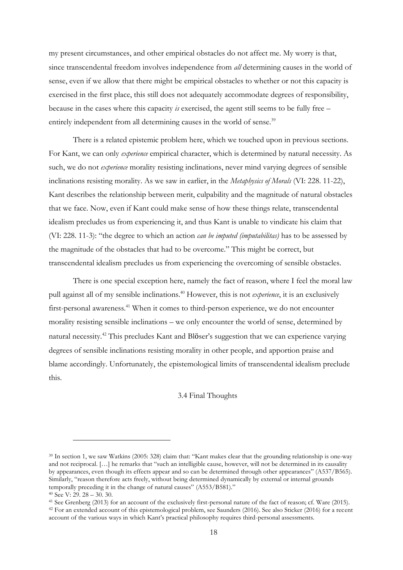my present circumstances, and other empirical obstacles do not affect me. My worry is that, since transcendental freedom involves independence from *all* determining causes in the world of sense, even if we allow that there might be empirical obstacles to whether or not this capacity is exercised in the first place, this still does not adequately accommodate degrees of responsibility, because in the cases where this capacity *is* exercised, the agent still seems to be fully free – entirely independent from all determining causes in the world of sense.<sup>39</sup>

There is a related epistemic problem here, which we touched upon in previous sections. For Kant, we can only *experience* empirical character, which is determined by natural necessity. As such, we do not *experience* morality resisting inclinations, never mind varying degrees of sensible inclinations resisting morality. As we saw in earlier, in the *Metaphysics of Morals* (VI: 228. 11-22), Kant describes the relationship between merit, culpability and the magnitude of natural obstacles that we face. Now, even if Kant could make sense of how these things relate, transcendental idealism precludes us from experiencing it, and thus Kant is unable to vindicate his claim that (VI: 228. 11-3): "the degree to which an action *can be imputed (imputabilitas)* has to be assessed by the magnitude of the obstacles that had to be overcome." This might be correct, but transcendental idealism precludes us from experiencing the overcoming of sensible obstacles.

There is one special exception here, namely the fact of reason, where I feel the moral law pull against all of my sensible inclinations.<sup>40</sup> However, this is not *experience*, it is an exclusively first-personal awareness.<sup>41</sup> When it comes to third-person experience, we do not encounter morality resisting sensible inclinations – we only encounter the world of sense, determined by natural necessity.<sup>42</sup> This precludes Kant and Blöser's suggestion that we can experience varying degrees of sensible inclinations resisting morality in other people, and apportion praise and blame accordingly. Unfortunately, the epistemological limits of transcendental idealism preclude this.

#### 3.4 Final Thoughts

<sup>39</sup> In section 1, we saw Watkins (2005: 328) claim that: "Kant makes clear that the grounding relationship is one-way and not reciprocal. […] he remarks that "such an intelligible cause, however, will not be determined in its causality by appearances, even though its effects appear and so can be determined through other appearances" (A537/B565). Similarly, "reason therefore acts freely, without being determined dynamically by external or internal grounds temporally preceding it in the change of natural causes" (A553/B581)."

<sup>40</sup> See V: 29. 28 – 30. 30.

<sup>41</sup> See Grenberg (2013) for an account of the exclusively first-personal nature of the fact of reason; cf. Ware (2015).

<sup>42</sup> For an extended account of this epistemological problem, see Saunders (2016). See also Sticker (2016) for a recent account of the various ways in which Kant's practical philosophy requires third-personal assessments.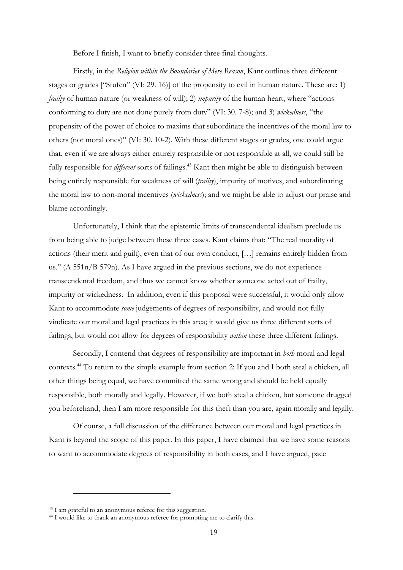Before I finish, I want to briefly consider three final thoughts.

Firstly, in the *Religion within the Boundaries of Mere Reason*, Kant outlines three different stages or grades ["Stufen" (VI: 29. 16)] of the propensity to evil in human nature. These are: 1) *frailty* of human nature (or weakness of will); 2) *impurity* of the human heart, where "actions conforming to duty are not done purely from duty" (VI: 30. 7-8); and 3) *wickedness*, "the propensity of the power of choice to maxims that subordinate the incentives of the moral law to others (not moral ones)" (VI: 30. 10-2). With these different stages or grades, one could argue that, even if we are always either entirely responsible or not responsible at all, we could still be fully responsible for *different* sorts of failings.<sup>43</sup> Kant then might be able to distinguish between being entirely responsible for weakness of will (*frailty*), impurity of motives, and subordinating the moral law to non-moral incentives (*wickedness*); and we might be able to adjust our praise and blame accordingly.

Unfortunately, I think that the epistemic limits of transcendental idealism preclude us from being able to judge between these three cases. Kant claims that: "The real morality of actions (their merit and guilt), even that of our own conduct, […] remains entirely hidden from us." (A 551n/B 579n). As I have argued in the previous sections, we do not experience transcendental freedom, and thus we cannot know whether someone acted out of frailty, impurity or wickedness. In addition, even if this proposal were successful, it would only allow Kant to accommodate *some* judgements of degrees of responsibility, and would not fully vindicate our moral and legal practices in this area; it would give us three different sorts of failings, but would not allow for degrees of responsibility *within* these three different failings.

Secondly, I contend that degrees of responsibility are important in *both* moral and legal contexts.<sup>44</sup> To return to the simple example from section 2: If you and I both steal a chicken, all other things being equal, we have committed the same wrong and should be held equally responsible, both morally and legally. However, if we both steal a chicken, but someone drugged you beforehand, then I am more responsible for this theft than you are, again morally and legally.

Of course, a full discussion of the difference between our moral and legal practices in Kant is beyond the scope of this paper. In this paper, I have claimed that we have some reasons to want to accommodate degrees of responsibility in both cases, and I have argued, pace

<u>.</u>

<sup>43</sup> I am grateful to an anonymous referee for this suggestion.

<sup>&</sup>lt;sup>44</sup> I would like to thank an anonymous referee for prompting me to clarify this.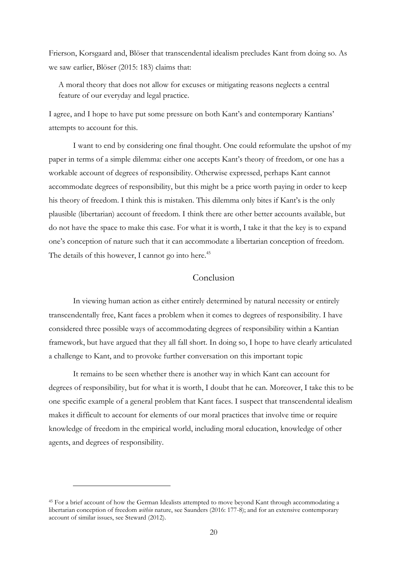Frierson, Korsgaard and, Blöser that transcendental idealism precludes Kant from doing so. As we saw earlier, Blöser (2015: 183) claims that:

A moral theory that does not allow for excuses or mitigating reasons neglects a central feature of our everyday and legal practice.

I agree, and I hope to have put some pressure on both Kant's and contemporary Kantians' attempts to account for this.

I want to end by considering one final thought. One could reformulate the upshot of my paper in terms of a simple dilemma: either one accepts Kant's theory of freedom, or one has a workable account of degrees of responsibility. Otherwise expressed, perhaps Kant cannot accommodate degrees of responsibility, but this might be a price worth paying in order to keep his theory of freedom. I think this is mistaken. This dilemma only bites if Kant's is the only plausible (libertarian) account of freedom. I think there are other better accounts available, but do not have the space to make this case. For what it is worth, I take it that the key is to expand one's conception of nature such that it can accommodate a libertarian conception of freedom. The details of this however, I cannot go into here.<sup>45</sup>

### Conclusion

In viewing human action as either entirely determined by natural necessity or entirely transcendentally free, Kant faces a problem when it comes to degrees of responsibility. I have considered three possible ways of accommodating degrees of responsibility within a Kantian framework, but have argued that they all fall short. In doing so, I hope to have clearly articulated a challenge to Kant, and to provoke further conversation on this important topic

It remains to be seen whether there is another way in which Kant can account for degrees of responsibility, but for what it is worth, I doubt that he can. Moreover, I take this to be one specific example of a general problem that Kant faces. I suspect that transcendental idealism makes it difficult to account for elements of our moral practices that involve time or require knowledge of freedom in the empirical world, including moral education, knowledge of other agents, and degrees of responsibility.

<sup>45</sup> For a brief account of how the German Idealists attempted to move beyond Kant through accommodating a libertarian conception of freedom *within* nature, see Saunders (2016: 177-8); and for an extensive contemporary account of similar issues, see Steward (2012).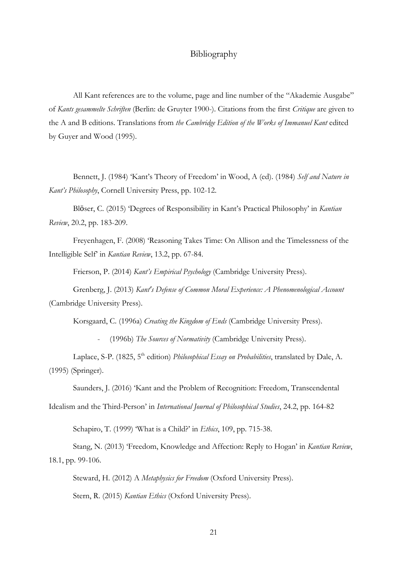### Bibliography

All Kant references are to the volume, page and line number of the "Akademie Ausgabe" of *Kants gesammelte Schriften* (Berlin: de Gruyter 1900-). Citations from the first *Critique* are given to the A and B editions. Translations from *the Cambridge Edition of the Works of Immanuel Kant* edited by Guyer and Wood (1995).

Bennett, J. (1984) 'Kant's Theory of Freedom' in Wood, A (ed). (1984) *Self and Nature in Kant's Philosophy*, Cornell University Press, pp. 102-12.

Blӧser, C. (2015) 'Degrees of Responsibility in Kant's Practical Philosophy' in *Kantian Review*, 20.2, pp. 183-209.

Freyenhagen, F. (2008) 'Reasoning Takes Time: On Allison and the Timelessness of the Intelligible Self' in *Kantian Review*, 13.2, pp. 67-84.

Frierson, P. (2014) *Kant's Empirical Psychology* (Cambridge University Press).

Grenberg, J. (2013) *Kant's Defense of Common Moral Experience: A Phenomenological Account* (Cambridge University Press).

Korsgaard, C. (1996a) *Creating the Kingdom of Ends* (Cambridge University Press).

- (1996b) *The Sources of Normativity* (Cambridge University Press).

Laplace, S-P. (1825, 5<sup>th</sup> edition) *Philosophical Essay on Probabilities*, translated by Dale, A. (1995) (Springer).

Saunders, J. (2016) 'Kant and the Problem of Recognition: Freedom, Transcendental

Idealism and the Third-Person' in *International Journal of Philosophical Studies*, 24.2, pp. 164-82

Schapiro, T. (1999) 'What is a Child?' in *Ethics*, 109, pp. 715-38.

Stang, N. (2013) 'Freedom, Knowledge and Affection: Reply to Hogan' in *Kantian Review*, 18.1, pp. 99-106.

Steward, H. (2012) A *Metaphysics for Freedom* (Oxford University Press).

Stern, R. (2015) *Kantian Ethics* (Oxford University Press).